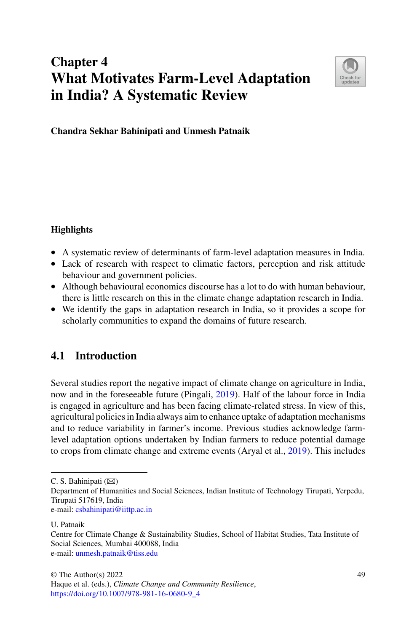# **Chapter 4 What Motivates Farm-Level Adaptation in India? A Systematic Review**



**Chandra Sekhar Bahinipati and Unmesh Patnaik**

#### **Highlights**

- A systematic review of determinants of farm-level adaptation measures in India.
- Lack of research with respect to climatic factors, perception and risk attitude behaviour and government policies.
- Although behavioural economics discourse has a lot to do with human behaviour, there is little research on this in the climate change adaptation research in India.
- We identify the gaps in adaptation research in India, so it provides a scope for scholarly communities to expand the domains of future research.

# **4.1 Introduction**

Several studies report the negative impact of climate change on agriculture in India, now and in the foreseeable future (Pingali, [2019\)](#page-18-0). Half of the labour force in India is engaged in agriculture and has been facing climate-related stress. In view of this, agricultural policies in India always aim to enhance uptake of adaptation mechanisms and to reduce variability in farmer's income. Previous studies acknowledge farmlevel adaptation options undertaken by Indian farmers to reduce potential damage to crops from climate change and extreme events (Aryal et al., [2019\)](#page-16-0). This includes

C. S. Bahinipati  $(\boxtimes)$ 

Department of Humanities and Social Sciences, Indian Institute of Technology Tirupati, Yerpedu, Tirupati 517619, India

e-mail: [csbahinipati@iittp.ac.in](mailto:csbahinipati@iittp.ac.in)

U. Patnaik

Centre for Climate Change & Sustainability Studies, School of Habitat Studies, Tata Institute of Social Sciences, Mumbai 400088, India e-mail: [unmesh.patnaik@tiss.edu](mailto:unmesh.patnaik@tiss.edu)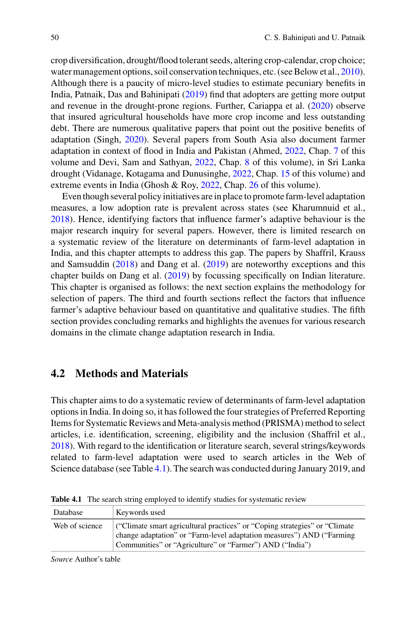crop diversification, drought/flood tolerant seeds, altering crop-calendar, crop choice; water management options, soil conservation techniques, etc. (see Below et al., [2010\)](#page-17-0). Although there is a paucity of micro-level studies to estimate pecuniary benefits in India, Patnaik, Das and Bahinipati [\(2019\)](#page-18-1) find that adopters are getting more output and revenue in the drought-prone regions. Further, Cariappa et al. [\(2020\)](#page-17-1) observe that insured agricultural households have more crop income and less outstanding debt. There are numerous qualitative papers that point out the positive benefits of adaptation (Singh, [2020\)](#page-18-2). Several papers from South Asia also document farmer adaptation in context of flood in India and Pakistan (Ahmed, [2022,](#page-16-1) Chap. 7 of this volume and Devi, Sam and Sathyan, [2022,](#page-17-2) Chap. 8 of this volume), in Sri Lanka drought (Vidanage, Kotagama and Dunusinghe, [2022,](#page-18-3) Chap. 15 of this volume) and extreme events in India (Ghosh & Roy, [2022,](#page-17-3) Chap. 26 of this volume).

Even though several policy initiatives are in place to promote farm-level adaptation measures, a low adoption rate is prevalent across states (see Kharumnuid et al., [2018\)](#page-17-4). Hence, identifying factors that influence farmer's adaptive behaviour is the major research inquiry for several papers. However, there is limited research on a systematic review of the literature on determinants of farm-level adaptation in India, and this chapter attempts to address this gap. The papers by Shaffril, Krauss and Samsuddin [\(2018\)](#page-18-4) and Dang et al. [\(2019\)](#page-17-5) are noteworthy exceptions and this chapter builds on Dang et al. [\(2019\)](#page-17-5) by focussing specifically on Indian literature. This chapter is organised as follows: the next section explains the methodology for selection of papers. The third and fourth sections reflect the factors that influence farmer's adaptive behaviour based on quantitative and qualitative studies. The fifth section provides concluding remarks and highlights the avenues for various research domains in the climate change adaptation research in India.

## **4.2 Methods and Materials**

This chapter aims to do a systematic review of determinants of farm-level adaptation options in India. In doing so, it has followed the four strategies of Preferred Reporting Items for Systematic Reviews and Meta-analysis method (PRISMA) method to select articles, i.e. identification, screening, eligibility and the inclusion (Shaffril et al., [2018\)](#page-18-4). With regard to the identification or literature search, several strings/keywords related to farm-level adaptation were used to search articles in the Web of Science database (see Table [4.1\)](#page-1-0). The search was conducted during January 2019, and

| Database       | Keywords used                                                                                                                                                                                                      |
|----------------|--------------------------------------------------------------------------------------------------------------------------------------------------------------------------------------------------------------------|
| Web of science | ("Climate smart agricultural practices" or "Coping strategies" or "Climate")<br>change adaptation" or "Farm-level adaptation measures") AND ("Farming"<br>Communities" or "Agriculture" or "Farmer") AND ("India") |

<span id="page-1-0"></span>**Table 4.1** The search string employed to identify studies for systematic review

*Source* Author's table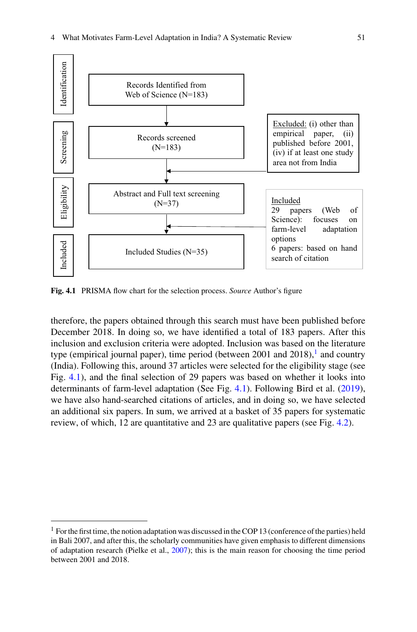

<span id="page-2-1"></span>**Fig. 4.1** PRISMA flow chart for the selection process. *Source* Author's figure

therefore, the papers obtained through this search must have been published before December 2018. In doing so, we have identified a total of 183 papers. After this inclusion and exclusion criteria were adopted. Inclusion was based on the literature type (empirical journal paper), time period (between 200[1](#page-2-0) and 2018), $<sup>1</sup>$  and country</sup> (India). Following this, around 37 articles were selected for the eligibility stage (see Fig. [4.1\)](#page-2-1), and the final selection of 29 papers was based on whether it looks into determinants of farm-level adaptation (See Fig. [4.1\)](#page-2-1). Following Bird et al. [\(2019\)](#page-17-6), we have also hand-searched citations of articles, and in doing so, we have selected an additional six papers. In sum, we arrived at a basket of 35 papers for systematic review, of which, 12 are quantitative and 23 are qualitative papers (see Fig. [4.2\)](#page-3-0).

<span id="page-2-0"></span> $<sup>1</sup>$  For the first time, the notion adaptation was discussed in the COP 13 (conference of the parties) held</sup> in Bali 2007, and after this, the scholarly communities have given emphasis to different dimensions of adaptation research (Pielke et al., [2007\)](#page-18-5); this is the main reason for choosing the time period between 2001 and 2018.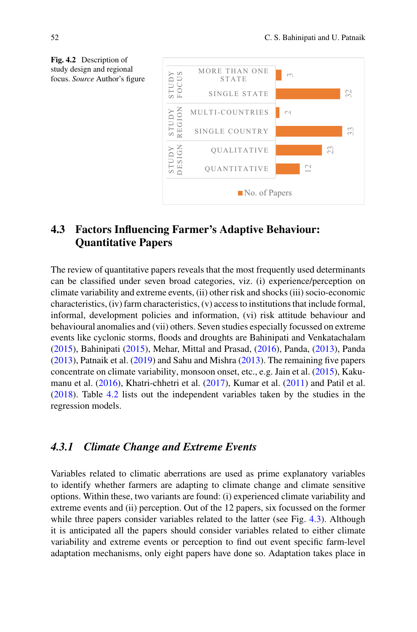<span id="page-3-0"></span>

# **4.3 Factors Influencing Farmer's Adaptive Behaviour: Quantitative Papers**

The review of quantitative papers reveals that the most frequently used determinants can be classified under seven broad categories, viz. (i) experience/perception on climate variability and extreme events, (ii) other risk and shocks (iii) socio-economic characteristics, (iv) farm characteristics, (v) access to institutions that include formal, informal, development policies and information, (vi) risk attitude behaviour and behavioural anomalies and (vii) others. Seven studies especially focussed on extreme events like cyclonic storms, floods and droughts are Bahinipati and Venkatachalam [\(2015\)](#page-16-2), Bahinipati [\(2015\)](#page-16-3), Mehar, Mittal and Prasad, [\(2016\)](#page-17-7), Panda, [\(2013\)](#page-18-6), Panda [\(2013\)](#page-18-7), Patnaik et al. [\(2019\)](#page-18-1) and Sahu and Mishra [\(2013\)](#page-18-8). The remaining five papers concentrate on climate variability, monsoon onset, etc., e.g. Jain et al. [\(2015\)](#page-17-8), Kakumanu et al. [\(2016\)](#page-17-9), Khatri-chhetri et al. [\(2017\)](#page-17-10), Kumar et al. [\(2011\)](#page-17-11) and Patil et al. [\(2018\)](#page-18-9). Table [4.2](#page-4-0) lists out the independent variables taken by the studies in the regression models.

## *4.3.1 Climate Change and Extreme Events*

Variables related to climatic aberrations are used as prime explanatory variables to identify whether farmers are adapting to climate change and climate sensitive options. Within these, two variants are found: (i) experienced climate variability and extreme events and (ii) perception. Out of the 12 papers, six focussed on the former while three papers consider variables related to the latter (see Fig. [4.3\)](#page-6-0). Although it is anticipated all the papers should consider variables related to either climate variability and extreme events or perception to find out event specific farm-level adaptation mechanisms, only eight papers have done so. Adaptation takes place in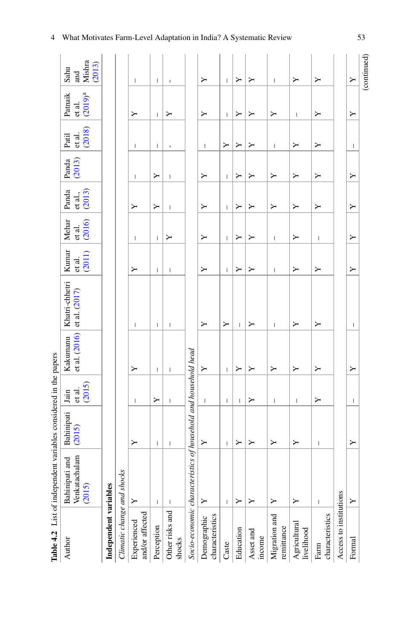<span id="page-4-0"></span>

|                                | Table 4.2 List of independent variables considered in the papers |                                                                                                                                                                                                                                                                                                                                                                                  |                                       |                             |                                                                                                                                                                                                                                                                                                                                                                                  |                                                                                                                                                                                                                                                                                                                                                                                  |                           |                                |                 |                                                                                                                                                                                                                                                                                                                                                                                  |                                       |                                       |
|--------------------------------|------------------------------------------------------------------|----------------------------------------------------------------------------------------------------------------------------------------------------------------------------------------------------------------------------------------------------------------------------------------------------------------------------------------------------------------------------------|---------------------------------------|-----------------------------|----------------------------------------------------------------------------------------------------------------------------------------------------------------------------------------------------------------------------------------------------------------------------------------------------------------------------------------------------------------------------------|----------------------------------------------------------------------------------------------------------------------------------------------------------------------------------------------------------------------------------------------------------------------------------------------------------------------------------------------------------------------------------|---------------------------|--------------------------------|-----------------|----------------------------------------------------------------------------------------------------------------------------------------------------------------------------------------------------------------------------------------------------------------------------------------------------------------------------------------------------------------------------------|---------------------------------------|---------------------------------------|
| Author                         | Venkatachalam<br>Bahinipati and<br>(2015)                        | Bahinipati Jain<br>(2015)                                                                                                                                                                                                                                                                                                                                                        | (2015)<br>et al.                      | et al. $(2016)$<br>Kakumanu | Khatri-chhetri<br>et al. (2017)                                                                                                                                                                                                                                                                                                                                                  | Kumar<br>(2011)<br>et al.                                                                                                                                                                                                                                                                                                                                                        | (2016)<br>Mehar<br>et al. | (2013)<br>Panda<br>et al.,     | (2013)<br>Panda | (2018)<br>et al.<br>Patil                                                                                                                                                                                                                                                                                                                                                        | $(2019)^{a}$<br>Patnaik<br>et al.     | Mishra<br>Sahu<br>and                 |
| Independent variables          |                                                                  |                                                                                                                                                                                                                                                                                                                                                                                  |                                       |                             |                                                                                                                                                                                                                                                                                                                                                                                  |                                                                                                                                                                                                                                                                                                                                                                                  |                           |                                |                 |                                                                                                                                                                                                                                                                                                                                                                                  |                                       | (2013)                                |
| Climatic change and shocks     |                                                                  |                                                                                                                                                                                                                                                                                                                                                                                  |                                       |                             |                                                                                                                                                                                                                                                                                                                                                                                  |                                                                                                                                                                                                                                                                                                                                                                                  |                           |                                |                 |                                                                                                                                                                                                                                                                                                                                                                                  |                                       |                                       |
| and/or affected<br>Experienced | ≻                                                                | ≻                                                                                                                                                                                                                                                                                                                                                                                | $\mathsf{I}$                          | ≻                           | $\mathbf{I}$                                                                                                                                                                                                                                                                                                                                                                     | ≻                                                                                                                                                                                                                                                                                                                                                                                | $\mathbf{I}$              | ≻                              | T               | $\mathbf{I}$                                                                                                                                                                                                                                                                                                                                                                     | ≻                                     | $\mathbf{I}$                          |
| Perception                     | $\mathsf{I}$                                                     | $\mathsf{I}$                                                                                                                                                                                                                                                                                                                                                                     | Υ                                     | $\mathsf{I}$                | L                                                                                                                                                                                                                                                                                                                                                                                | $\begin{array}{c} \hline \end{array}$                                                                                                                                                                                                                                                                                                                                            | $\mathsf I$               | Υ                              | Υ               | $\mathsf{I}$                                                                                                                                                                                                                                                                                                                                                                     | $\mathsf{I}$                          | $\mathsf{I}$                          |
| Other risks and<br>shocks      | I                                                                | $\begin{array}{c} \rule{0pt}{2.5ex} \rule{0pt}{2.5ex} \rule{0pt}{2.5ex} \rule{0pt}{2.5ex} \rule{0pt}{2.5ex} \rule{0pt}{2.5ex} \rule{0pt}{2.5ex} \rule{0pt}{2.5ex} \rule{0pt}{2.5ex} \rule{0pt}{2.5ex} \rule{0pt}{2.5ex} \rule{0pt}{2.5ex} \rule{0pt}{2.5ex} \rule{0pt}{2.5ex} \rule{0pt}{2.5ex} \rule{0pt}{2.5ex} \rule{0pt}{2.5ex} \rule{0pt}{2.5ex} \rule{0pt}{2.5ex} \rule{0$ | $\begin{array}{c} \end{array}$        | $\mathsf{I}$                | T                                                                                                                                                                                                                                                                                                                                                                                | $\begin{array}{c} \rule{0pt}{2.5ex} \rule{0pt}{2.5ex} \rule{0pt}{2.5ex} \rule{0pt}{2.5ex} \rule{0pt}{2.5ex} \rule{0pt}{2.5ex} \rule{0pt}{2.5ex} \rule{0pt}{2.5ex} \rule{0pt}{2.5ex} \rule{0pt}{2.5ex} \rule{0pt}{2.5ex} \rule{0pt}{2.5ex} \rule{0pt}{2.5ex} \rule{0pt}{2.5ex} \rule{0pt}{2.5ex} \rule{0pt}{2.5ex} \rule{0pt}{2.5ex} \rule{0pt}{2.5ex} \rule{0pt}{2.5ex} \rule{0$ | ≻                         | $\begin{array}{c} \end{array}$ | $\mathsf I$     | $\blacksquare$                                                                                                                                                                                                                                                                                                                                                                   | ≻                                     | $\mathbf{I}$                          |
|                                | Socio-economic characteristics of household and household head   |                                                                                                                                                                                                                                                                                                                                                                                  |                                       |                             |                                                                                                                                                                                                                                                                                                                                                                                  |                                                                                                                                                                                                                                                                                                                                                                                  |                           |                                |                 |                                                                                                                                                                                                                                                                                                                                                                                  |                                       |                                       |
| characteristics<br>Demographic | ≻                                                                | Y                                                                                                                                                                                                                                                                                                                                                                                | $\mathsf I$                           | ≻                           | ≻                                                                                                                                                                                                                                                                                                                                                                                | ≻                                                                                                                                                                                                                                                                                                                                                                                | ≻                         | ≻                              | Y               | $\begin{array}{c} \rule{0pt}{2.5ex} \rule{0pt}{2.5ex} \rule{0pt}{2.5ex} \rule{0pt}{2.5ex} \rule{0pt}{2.5ex} \rule{0pt}{2.5ex} \rule{0pt}{2.5ex} \rule{0pt}{2.5ex} \rule{0pt}{2.5ex} \rule{0pt}{2.5ex} \rule{0pt}{2.5ex} \rule{0pt}{2.5ex} \rule{0pt}{2.5ex} \rule{0pt}{2.5ex} \rule{0pt}{2.5ex} \rule{0pt}{2.5ex} \rule{0pt}{2.5ex} \rule{0pt}{2.5ex} \rule{0pt}{2.5ex} \rule{0$ | Υ                                     | Y                                     |
| Caste                          | $\mathbf{I}$                                                     | $\mathbb T$                                                                                                                                                                                                                                                                                                                                                                      | $\mathsf I$                           | $\mathsf I$                 | Y                                                                                                                                                                                                                                                                                                                                                                                | $\begin{array}{c} \hline \end{array}$                                                                                                                                                                                                                                                                                                                                            | $\mathsf I$               | $\mathsf I$                    | $\mathsf{I}$    | Y                                                                                                                                                                                                                                                                                                                                                                                | $\begin{array}{c} \hline \end{array}$ | $\begin{array}{c} \hline \end{array}$ |
| Education                      | ≻                                                                | Y                                                                                                                                                                                                                                                                                                                                                                                | $\mathsf I$                           | Υ                           | $\begin{array}{c} \rule{0pt}{2.5ex} \rule{0pt}{2.5ex} \rule{0pt}{2.5ex} \rule{0pt}{2.5ex} \rule{0pt}{2.5ex} \rule{0pt}{2.5ex} \rule{0pt}{2.5ex} \rule{0pt}{2.5ex} \rule{0pt}{2.5ex} \rule{0pt}{2.5ex} \rule{0pt}{2.5ex} \rule{0pt}{2.5ex} \rule{0pt}{2.5ex} \rule{0pt}{2.5ex} \rule{0pt}{2.5ex} \rule{0pt}{2.5ex} \rule{0pt}{2.5ex} \rule{0pt}{2.5ex} \rule{0pt}{2.5ex} \rule{0$ | ≻                                                                                                                                                                                                                                                                                                                                                                                | ≻                         | Y                              | Υ               | Y                                                                                                                                                                                                                                                                                                                                                                                | Y                                     | Y                                     |
| Asset and<br>income            | ≻                                                                | ≻                                                                                                                                                                                                                                                                                                                                                                                | ≻                                     | ≻                           | ≻                                                                                                                                                                                                                                                                                                                                                                                | ≻                                                                                                                                                                                                                                                                                                                                                                                | ≻                         | ≻                              | ≻               | ≻                                                                                                                                                                                                                                                                                                                                                                                | ≻                                     | ≻                                     |
| Migration and<br>remittance    | ≻                                                                | Y                                                                                                                                                                                                                                                                                                                                                                                | $\begin{array}{c} \end{array}$        | ≻                           | $\begin{array}{c} \rule{0pt}{2.5ex} \rule{0pt}{2.5ex} \rule{0pt}{2.5ex} \rule{0pt}{2.5ex} \rule{0pt}{2.5ex} \rule{0pt}{2.5ex} \rule{0pt}{2.5ex} \rule{0pt}{2.5ex} \rule{0pt}{2.5ex} \rule{0pt}{2.5ex} \rule{0pt}{2.5ex} \rule{0pt}{2.5ex} \rule{0pt}{2.5ex} \rule{0pt}{2.5ex} \rule{0pt}{2.5ex} \rule{0pt}{2.5ex} \rule{0pt}{2.5ex} \rule{0pt}{2.5ex} \rule{0pt}{2.5ex} \rule{0$ | $\begin{array}{c} \end{array}$                                                                                                                                                                                                                                                                                                                                                   | $\mathsf I$               | ≻                              | ≻               | $\begin{array}{c} \rule{0pt}{2.5ex} \rule{0pt}{2.5ex} \rule{0pt}{2.5ex} \rule{0pt}{2.5ex} \rule{0pt}{2.5ex} \rule{0pt}{2.5ex} \rule{0pt}{2.5ex} \rule{0pt}{2.5ex} \rule{0pt}{2.5ex} \rule{0pt}{2.5ex} \rule{0pt}{2.5ex} \rule{0pt}{2.5ex} \rule{0pt}{2.5ex} \rule{0pt}{2.5ex} \rule{0pt}{2.5ex} \rule{0pt}{2.5ex} \rule{0pt}{2.5ex} \rule{0pt}{2.5ex} \rule{0pt}{2.5ex} \rule{0$ | ≻                                     | $\mathsf I$                           |
| Agricultural<br>livelihood     | ≻                                                                | Υ                                                                                                                                                                                                                                                                                                                                                                                | $\begin{array}{c} \hline \end{array}$ | Υ                           | ≻                                                                                                                                                                                                                                                                                                                                                                                | ≻                                                                                                                                                                                                                                                                                                                                                                                | Υ                         | Y                              | ≻               | Υ                                                                                                                                                                                                                                                                                                                                                                                | $\begin{array}{c} \hline \end{array}$ | ≻                                     |
| characteristics<br>Farm        | $\mathbf{I}$                                                     | $\mathsf{I}$                                                                                                                                                                                                                                                                                                                                                                     | ≻                                     | ≻                           | ≻                                                                                                                                                                                                                                                                                                                                                                                | ≻                                                                                                                                                                                                                                                                                                                                                                                | $\mathbf{I}$              | ≻                              | ≻               | ≻                                                                                                                                                                                                                                                                                                                                                                                | ≻                                     | Y                                     |
| Access to institutions         |                                                                  |                                                                                                                                                                                                                                                                                                                                                                                  |                                       |                             |                                                                                                                                                                                                                                                                                                                                                                                  |                                                                                                                                                                                                                                                                                                                                                                                  |                           |                                |                 |                                                                                                                                                                                                                                                                                                                                                                                  |                                       |                                       |
| Formal                         | ≻                                                                | ≻                                                                                                                                                                                                                                                                                                                                                                                | $\begin{array}{c} \end{array}$        | Υ                           | I                                                                                                                                                                                                                                                                                                                                                                                | ≻                                                                                                                                                                                                                                                                                                                                                                                | ≻                         | ≻                              | Υ               | $\begin{array}{c} \end{array}$                                                                                                                                                                                                                                                                                                                                                   | Y                                     | Y                                     |
|                                |                                                                  |                                                                                                                                                                                                                                                                                                                                                                                  |                                       |                             |                                                                                                                                                                                                                                                                                                                                                                                  |                                                                                                                                                                                                                                                                                                                                                                                  |                           |                                |                 |                                                                                                                                                                                                                                                                                                                                                                                  |                                       | (continued)                           |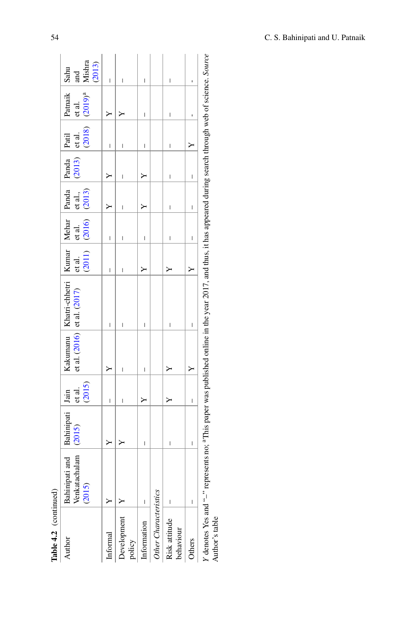| Table 4.2 (continued)        |                                                                                |   |                                                                                                                                                                                                                                                                                                                                                                                  |   |                                                                                                                                                                                                   |                          |   |   |   |                          |    |                                                                                        |
|------------------------------|--------------------------------------------------------------------------------|---|----------------------------------------------------------------------------------------------------------------------------------------------------------------------------------------------------------------------------------------------------------------------------------------------------------------------------------------------------------------------------------|---|---------------------------------------------------------------------------------------------------------------------------------------------------------------------------------------------------|--------------------------|---|---|---|--------------------------|----|----------------------------------------------------------------------------------------|
| Author                       | Bahinipati and Bahinipati Jain<br>Venkatachalam (2015) et al.<br>(2015) (2015) |   |                                                                                                                                                                                                                                                                                                                                                                                  |   | $\begin{tabular}{ l c c c c } \hline Kakumanu & Khatri-chhetri & Kumar & Methar & Panda & Panda\\ \hline et al. (2016) et al. (2017) & et al. & et al. & et al., & (2013)\\ \hline \end{tabular}$ |                          |   |   |   |                          |    | Patil Patnaik Sahu<br>et al. et al. and<br>(2018) $(2019)^a$ Mishra<br>(2013) $(2013)$ |
| Informal                     |                                                                                |   | I                                                                                                                                                                                                                                                                                                                                                                                |   | Ī                                                                                                                                                                                                 | I                        | Ī |   |   | Ī                        |    |                                                                                        |
| Development<br>policy        |                                                                                |   | I                                                                                                                                                                                                                                                                                                                                                                                | I | I                                                                                                                                                                                                 | $\overline{\phantom{a}}$ | Ī | I | I | $\overline{\phantom{a}}$ |    | I                                                                                      |
| Information                  |                                                                                | Ī |                                                                                                                                                                                                                                                                                                                                                                                  | Ī | I                                                                                                                                                                                                 | ≻                        | I |   |   | $\overline{\phantom{a}}$ | I  | I                                                                                      |
| <b>Other Characteristics</b> |                                                                                |   |                                                                                                                                                                                                                                                                                                                                                                                  |   |                                                                                                                                                                                                   |                          |   |   |   |                          |    |                                                                                        |
| Risk attitude<br>behaviour   |                                                                                | I |                                                                                                                                                                                                                                                                                                                                                                                  |   | I                                                                                                                                                                                                 |                          | I | I | I | I                        | I  | I                                                                                      |
| Others                       | I                                                                              | I | $\begin{array}{c} \rule{0pt}{2.5ex} \rule{0pt}{2.5ex} \rule{0pt}{2.5ex} \rule{0pt}{2.5ex} \rule{0pt}{2.5ex} \rule{0pt}{2.5ex} \rule{0pt}{2.5ex} \rule{0pt}{2.5ex} \rule{0pt}{2.5ex} \rule{0pt}{2.5ex} \rule{0pt}{2.5ex} \rule{0pt}{2.5ex} \rule{0pt}{2.5ex} \rule{0pt}{2.5ex} \rule{0pt}{2.5ex} \rule{0pt}{2.5ex} \rule{0pt}{2.5ex} \rule{0pt}{2.5ex} \rule{0pt}{2.5ex} \rule{0$ |   | I                                                                                                                                                                                                 | ≻                        | I | I | I |                          | ı. | ı                                                                                      |
| $V = 1, , L = VI$            |                                                                                |   |                                                                                                                                                                                                                                                                                                                                                                                  |   |                                                                                                                                                                                                   |                          |   |   |   |                          |    |                                                                                        |

*Y* denotes Yes and "-" represents no; <sup>a</sup> This paper was published online in the year 2017, and thus, it has appeared during search through web of science. Source<br>Author's table  $\begin{array}{c} \hline \end{array}$  denotes Yes and "–" represents no; aThis paper was published online in the year 2017, and thus, it has appeared during search through web of science. *Source* Author's table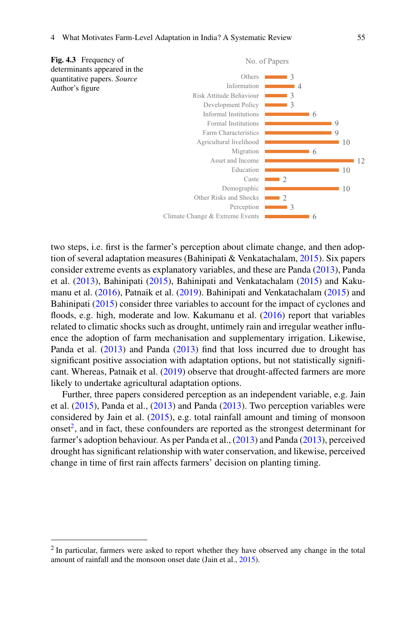<span id="page-6-0"></span>

two steps, i.e. first is the farmer's perception about climate change, and then adoption of several adaptation measures (Bahinipati & Venkatachalam, [2015\)](#page-16-2). Six papers consider extreme events as explanatory variables, and these are Panda [\(2013\)](#page-18-7), Panda et al. [\(2013\)](#page-18-6), Bahinipati [\(2015\)](#page-16-3), Bahinipati and Venkatachalam [\(2015\)](#page-16-2) and Kakumanu et al. [\(2016\)](#page-17-9), Patnaik et al. [\(2019\)](#page-18-1). Bahinipati and Venkatachalam [\(2015\)](#page-16-2) and Bahinipati [\(2015\)](#page-16-3) consider three variables to account for the impact of cyclones and floods, e.g. high, moderate and low. Kakumanu et al. [\(2016\)](#page-17-9) report that variables related to climatic shocks such as drought, untimely rain and irregular weather influence the adoption of farm mechanisation and supplementary irrigation. Likewise, Panda et al. [\(2013\)](#page-18-6) and Panda [\(2013\)](#page-18-7) find that loss incurred due to drought has significant positive association with adaptation options, but not statistically significant. Whereas, Patnaik et al. [\(2019\)](#page-18-1) observe that drought-affected farmers are more likely to undertake agricultural adaptation options.

Further, three papers considered perception as an independent variable, e.g. Jain et al. [\(2015\)](#page-17-8), Panda et al., [\(2013\)](#page-18-6) and Panda [\(2013\)](#page-18-7). Two perception variables were considered by Jain et al.  $(2015)$ , e.g. total rainfall amount and timing of monsoon  $\omega$  onset<sup>2</sup>, and in fact, these confounders are reported as the strongest determinant for farmer's adoption behaviour. As per Panda et al., [\(2013\)](#page-18-6) and Panda [\(2013\)](#page-18-7), perceived drought has significant relationship with water conservation, and likewise, perceived change in time of first rain affects farmers' decision on planting timing.

<span id="page-6-1"></span><sup>&</sup>lt;sup>2</sup> In particular, farmers were asked to report whether they have observed any change in the total amount of rainfall and the monsoon onset date (Jain et al., [2015\)](#page-17-8).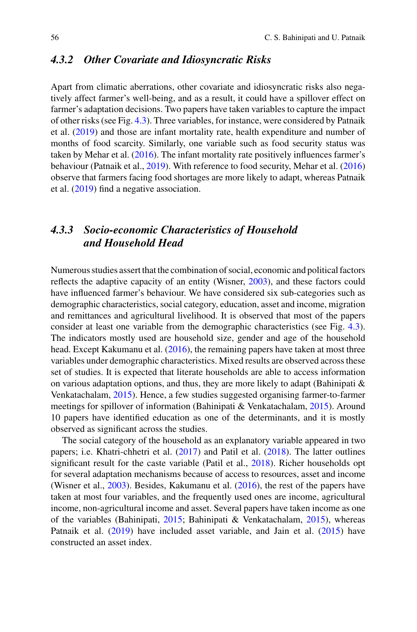#### *4.3.2 Other Covariate and Idiosyncratic Risks*

Apart from climatic aberrations, other covariate and idiosyncratic risks also negatively affect farmer's well-being, and as a result, it could have a spillover effect on farmer's adaptation decisions. Two papers have taken variables to capture the impact of other risks (see Fig. [4.3\)](#page-6-0). Three variables, for instance, were considered by Patnaik et al. [\(2019\)](#page-18-1) and those are infant mortality rate, health expenditure and number of months of food scarcity. Similarly, one variable such as food security status was taken by Mehar et al. [\(2016\)](#page-17-7). The infant mortality rate positively influences farmer's behaviour (Patnaik et al., [2019\)](#page-18-1). With reference to food security, Mehar et al. [\(2016\)](#page-17-7) observe that farmers facing food shortages are more likely to adapt, whereas Patnaik et al. [\(2019\)](#page-18-1) find a negative association.

# *4.3.3 Socio-economic Characteristics of Household and Household Head*

Numerous studies assert that the combination of social, economic and political factors reflects the adaptive capacity of an entity (Wisner, [2003\)](#page-19-0), and these factors could have influenced farmer's behaviour. We have considered six sub-categories such as demographic characteristics, social category, education, asset and income, migration and remittances and agricultural livelihood. It is observed that most of the papers consider at least one variable from the demographic characteristics (see Fig. [4.3\)](#page-6-0). The indicators mostly used are household size, gender and age of the household head. Except Kakumanu et al. [\(2016\)](#page-17-9), the remaining papers have taken at most three variables under demographic characteristics. Mixed results are observed across these set of studies. It is expected that literate households are able to access information on various adaptation options, and thus, they are more likely to adapt (Bahinipati  $\&$ Venkatachalam, [2015\)](#page-16-2). Hence, a few studies suggested organising farmer-to-farmer meetings for spillover of information (Bahinipati & Venkatachalam, [2015\)](#page-16-2). Around 10 papers have identified education as one of the determinants, and it is mostly observed as significant across the studies.

The social category of the household as an explanatory variable appeared in two papers; i.e. Khatri-chhetri et al. [\(2017\)](#page-17-10) and Patil et al. [\(2018\)](#page-18-9). The latter outlines significant result for the caste variable (Patil et al., [2018\)](#page-18-9). Richer households opt for several adaptation mechanisms because of access to resources, asset and income (Wisner et al., [2003\)](#page-19-0). Besides, Kakumanu et al. [\(2016\)](#page-17-9), the rest of the papers have taken at most four variables, and the frequently used ones are income, agricultural income, non-agricultural income and asset. Several papers have taken income as one of the variables (Bahinipati, [2015;](#page-16-3) Bahinipati & Venkatachalam, [2015\)](#page-16-2), whereas Patnaik et al. [\(2019\)](#page-18-1) have included asset variable, and Jain et al. [\(2015\)](#page-17-8) have constructed an asset index.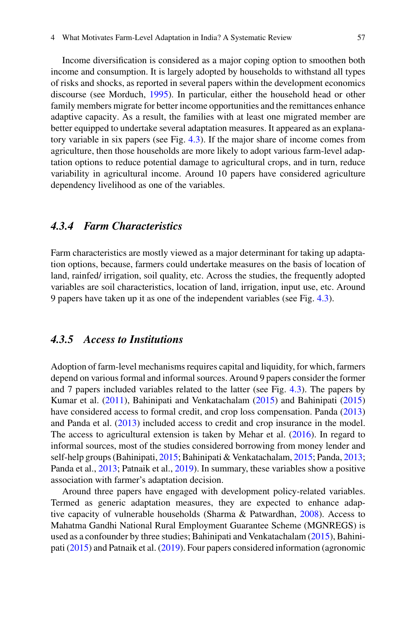Income diversification is considered as a major coping option to smoothen both income and consumption. It is largely adopted by households to withstand all types of risks and shocks, as reported in several papers within the development economics discourse (see Morduch, [1995\)](#page-17-12). In particular, either the household head or other family members migrate for better income opportunities and the remittances enhance adaptive capacity. As a result, the families with at least one migrated member are better equipped to undertake several adaptation measures. It appeared as an explanatory variable in six papers (see Fig. [4.3\)](#page-6-0). If the major share of income comes from agriculture, then those households are more likely to adopt various farm-level adaptation options to reduce potential damage to agricultural crops, and in turn, reduce variability in agricultural income. Around 10 papers have considered agriculture dependency livelihood as one of the variables.

#### *4.3.4 Farm Characteristics*

Farm characteristics are mostly viewed as a major determinant for taking up adaptation options, because, farmers could undertake measures on the basis of location of land, rainfed/ irrigation, soil quality, etc. Across the studies, the frequently adopted variables are soil characteristics, location of land, irrigation, input use, etc. Around 9 papers have taken up it as one of the independent variables (see Fig. [4.3\)](#page-6-0).

## *4.3.5 Access to Institutions*

Adoption of farm-level mechanisms requires capital and liquidity, for which, farmers depend on various formal and informal sources. Around 9 papers consider the former and 7 papers included variables related to the latter (see Fig. [4.3\)](#page-6-0). The papers by Kumar et al. [\(2011\)](#page-17-11), Bahinipati and Venkatachalam [\(2015\)](#page-16-2) and Bahinipati [\(2015\)](#page-16-3) have considered access to formal credit, and crop loss compensation. Panda [\(2013\)](#page-18-7) and Panda et al. [\(2013\)](#page-18-6) included access to credit and crop insurance in the model. The access to agricultural extension is taken by Mehar et al. [\(2016\)](#page-17-7). In regard to informal sources, most of the studies considered borrowing from money lender and self-help groups (Bahinipati, [2015;](#page-16-3) Bahinipati & Venkatachalam, [2015;](#page-16-2) Panda, [2013;](#page-18-7) Panda et al., [2013;](#page-18-6) Patnaik et al., [2019\)](#page-18-1). In summary, these variables show a positive association with farmer's adaptation decision.

Around three papers have engaged with development policy-related variables. Termed as generic adaptation measures, they are expected to enhance adaptive capacity of vulnerable households (Sharma & Patwardhan, [2008\)](#page-18-10). Access to Mahatma Gandhi National Rural Employment Guarantee Scheme (MGNREGS) is used as a confounder by three studies; Bahinipati and Venkatachalam [\(2015\)](#page-16-2), Bahinipati [\(2015\)](#page-16-3) and Patnaik et al. [\(2019\)](#page-18-1). Four papers considered information (agronomic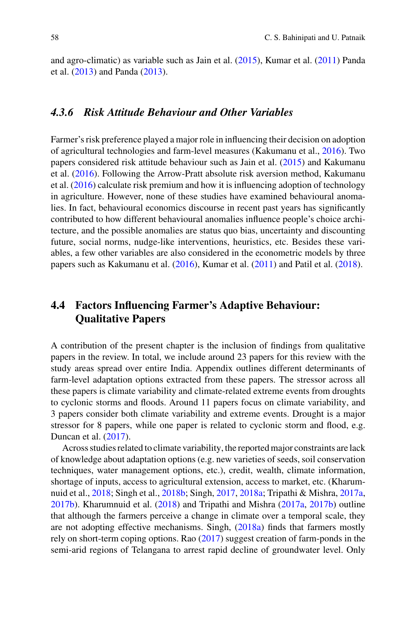and agro-climatic) as variable such as Jain et al. [\(2015\)](#page-17-8), Kumar et al. [\(2011\)](#page-17-11) Panda et al. [\(2013\)](#page-18-6) and Panda [\(2013\)](#page-18-7).

#### *4.3.6 Risk Attitude Behaviour and Other Variables*

Farmer's risk preference played a major role in influencing their decision on adoption of agricultural technologies and farm-level measures (Kakumanu et al., [2016\)](#page-17-9). Two papers considered risk attitude behaviour such as Jain et al. [\(2015\)](#page-17-8) and Kakumanu et al. [\(2016\)](#page-17-9). Following the Arrow-Pratt absolute risk aversion method, Kakumanu et al. [\(2016\)](#page-17-9) calculate risk premium and how it is influencing adoption of technology in agriculture. However, none of these studies have examined behavioural anomalies. In fact, behavioural economics discourse in recent past years has significantly contributed to how different behavioural anomalies influence people's choice architecture, and the possible anomalies are status quo bias, uncertainty and discounting future, social norms, nudge-like interventions, heuristics, etc. Besides these variables, a few other variables are also considered in the econometric models by three papers such as Kakumanu et al. [\(2016\)](#page-17-9), Kumar et al. [\(2011\)](#page-17-11) and Patil et al. [\(2018\)](#page-18-9).

## **4.4 Factors Influencing Farmer's Adaptive Behaviour: Qualitative Papers**

A contribution of the present chapter is the inclusion of findings from qualitative papers in the review. In total, we include around 23 papers for this review with the study areas spread over entire India. Appendix outlines different determinants of farm-level adaptation options extracted from these papers. The stressor across all these papers is climate variability and climate-related extreme events from droughts to cyclonic storms and floods. Around 11 papers focus on climate variability, and 3 papers consider both climate variability and extreme events. Drought is a major stressor for 8 papers, while one paper is related to cyclonic storm and flood, e.g. Duncan et al. [\(2017\)](#page-17-13).

Across studies related to climate variability, the reported major constraints are lack of knowledge about adaptation options (e.g. new varieties of seeds, soil conservation techniques, water management options, etc.), credit, wealth, climate information, shortage of inputs, access to agricultural extension, access to market, etc. (Kharumnuid et al., [2018;](#page-17-4) Singh et al., [2018b;](#page-18-11) Singh, [2017,](#page-18-12) [2018a;](#page-18-13) Tripathi & Mishra, [2017a,](#page-18-14) [2017b\)](#page-18-15). Kharumnuid et al. [\(2018\)](#page-17-4) and Tripathi and Mishra [\(2017a,](#page-18-14) [2017b\)](#page-18-15) outline that although the farmers perceive a change in climate over a temporal scale, they are not adopting effective mechanisms. Singh, [\(2018a\)](#page-18-13) finds that farmers mostly rely on short-term coping options. Rao [\(2017\)](#page-18-16) suggest creation of farm-ponds in the semi-arid regions of Telangana to arrest rapid decline of groundwater level. Only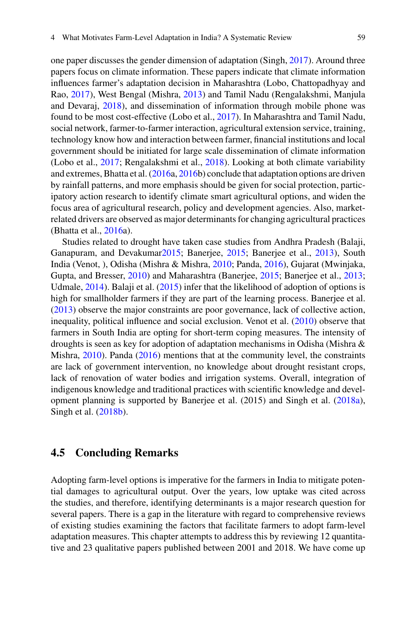one paper discusses the gender dimension of adaptation (Singh, [2017\)](#page-18-12). Around three papers focus on climate information. These papers indicate that climate information influences farmer's adaptation decision in Maharashtra (Lobo, Chattopadhyay and Rao, [2017\)](#page-17-14), West Bengal (Mishra, [2013\)](#page-17-15) and Tamil Nadu (Rengalakshmi, Manjula and Devaraj, [2018\)](#page-18-17), and dissemination of information through mobile phone was found to be most cost-effective (Lobo et al., [2017\)](#page-17-14). In Maharashtra and Tamil Nadu, social network, farmer-to-farmer interaction, agricultural extension service, training, technology know how and interaction between farmer, financial institutions and local government should be initiated for large scale dissemination of climate information (Lobo et al., [2017;](#page-17-14) Rengalakshmi et al., [2018\)](#page-18-17). Looking at both climate variability and extremes, Bhatta et al. [\(2016a](#page-17-16), [2016b](#page-17-17)) conclude that adaptation options are driven by rainfall patterns, and more emphasis should be given for social protection, participatory action research to identify climate smart agricultural options, and widen the focus area of agricultural research, policy and development agencies. Also, marketrelated drivers are observed as major determinants for changing agricultural practices (Bhatta et al., [2016a](#page-17-17)).

Studies related to drought have taken case studies from Andhra Pradesh (Balaji, Ganapuram, and Devakuma[r2015;](#page-16-4) Banerjee, [2015;](#page-16-5) Banerjee et al., [2013\)](#page-17-18), South India (Venot, ), Odisha (Mishra & Mishra, [2010;](#page-17-19) Panda, [2016\)](#page-18-18), Gujarat (Mwinjaka, Gupta, and Bresser, [2010\)](#page-17-20) and Maharashtra (Banerjee, [2015;](#page-16-5) Banerjee et al., [2013;](#page-17-18) Udmale, [2014\)](#page-18-19). Balaji et al. [\(2015\)](#page-16-4) infer that the likelihood of adoption of options is high for smallholder farmers if they are part of the learning process. Banerjee et al. [\(2013\)](#page-17-18) observe the major constraints are poor governance, lack of collective action, inequality, political influence and social exclusion. Venot et al. [\(2010\)](#page-18-20) observe that farmers in South India are opting for short-term coping measures. The intensity of droughts is seen as key for adoption of adaptation mechanisms in Odisha (Mishra & Mishra, [2010\)](#page-17-19). Panda [\(2016\)](#page-18-18) mentions that at the community level, the constraints are lack of government intervention, no knowledge about drought resistant crops, lack of renovation of water bodies and irrigation systems. Overall, integration of indigenous knowledge and traditional practices with scientific knowledge and development planning is supported by Banerjee et al. (2015) and Singh et al. [\(2018a\)](#page-18-13), Singh et al. [\(2018b\)](#page-18-11).

## **4.5 Concluding Remarks**

Adopting farm-level options is imperative for the farmers in India to mitigate potential damages to agricultural output. Over the years, low uptake was cited across the studies, and therefore, identifying determinants is a major research question for several papers. There is a gap in the literature with regard to comprehensive reviews of existing studies examining the factors that facilitate farmers to adopt farm-level adaptation measures. This chapter attempts to address this by reviewing 12 quantitative and 23 qualitative papers published between 2001 and 2018. We have come up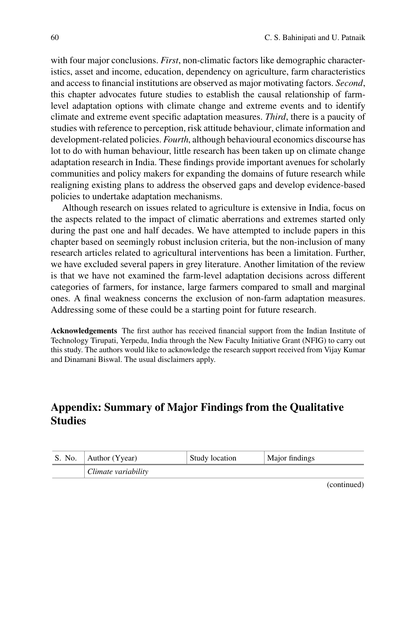with four major conclusions. *First*, non-climatic factors like demographic characteristics, asset and income, education, dependency on agriculture, farm characteristics and access to financial institutions are observed as major motivating factors. *Second*, this chapter advocates future studies to establish the causal relationship of farmlevel adaptation options with climate change and extreme events and to identify climate and extreme event specific adaptation measures. *Third*, there is a paucity of studies with reference to perception, risk attitude behaviour, climate information and development-related policies. *Fourth*, although behavioural economics discourse has lot to do with human behaviour, little research has been taken up on climate change adaptation research in India. These findings provide important avenues for scholarly communities and policy makers for expanding the domains of future research while realigning existing plans to address the observed gaps and develop evidence-based policies to undertake adaptation mechanisms.

Although research on issues related to agriculture is extensive in India, focus on the aspects related to the impact of climatic aberrations and extremes started only during the past one and half decades. We have attempted to include papers in this chapter based on seemingly robust inclusion criteria, but the non-inclusion of many research articles related to agricultural interventions has been a limitation. Further, we have excluded several papers in grey literature. Another limitation of the review is that we have not examined the farm-level adaptation decisions across different categories of farmers, for instance, large farmers compared to small and marginal ones. A final weakness concerns the exclusion of non-farm adaptation measures. Addressing some of these could be a starting point for future research.

**Acknowledgements** The first author has received financial support from the Indian Institute of Technology Tirupati, Yerpedu, India through the New Faculty Initiative Grant (NFIG) to carry out this study. The authors would like to acknowledge the research support received from Vijay Kumar and Dinamani Biswal. The usual disclaimers apply.

# **Appendix: Summary of Major Findings from the Qualitative Studies**

| S. No. $\vert$ Author (Yyear) | Study location | Major findings |
|-------------------------------|----------------|----------------|
| $\vert$ Climate variability   |                |                |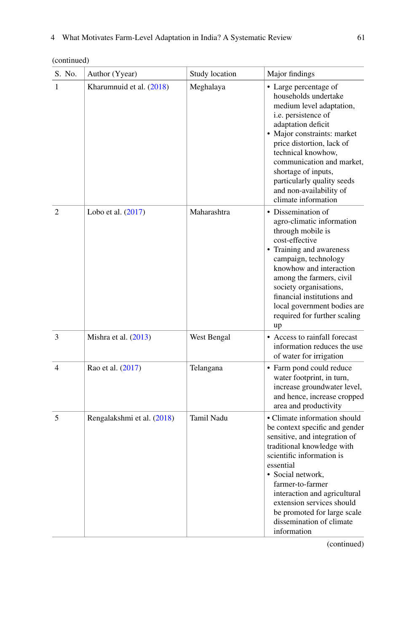| (continued) |
|-------------|
|-------------|

| S. No.         | Author (Yyear)             | Study location | Major findings                                                                                                                                                                                                                                                                                                                                          |
|----------------|----------------------------|----------------|---------------------------------------------------------------------------------------------------------------------------------------------------------------------------------------------------------------------------------------------------------------------------------------------------------------------------------------------------------|
| 1              | Kharumnuid et al. (2018)   | Meghalaya      | • Large percentage of<br>households undertake<br>medium level adaptation,<br>i.e. persistence of<br>adaptation deficit<br>• Major constraints: market<br>price distortion, lack of<br>technical knowhow,<br>communication and market,<br>shortage of inputs,<br>particularly quality seeds<br>and non-availability of<br>climate information            |
| 2              | Lobo et al. (2017)         | Maharashtra    | • Dissemination of<br>agro-climatic information<br>through mobile is<br>cost-effective<br>• Training and awareness<br>campaign, technology<br>knowhow and interaction<br>among the farmers, civil<br>society organisations,<br>financial institutions and<br>local government bodies are<br>required for further scaling<br>up                          |
| 3              | Mishra et al. $(2013)$     | West Bengal    | Access to rainfall forecast<br>information reduces the use<br>of water for irrigation                                                                                                                                                                                                                                                                   |
| $\overline{4}$ | Rao et al. (2017)          | Telangana      | • Farm pond could reduce<br>water footprint, in turn,<br>increase groundwater level,<br>and hence, increase cropped<br>area and productivity                                                                                                                                                                                                            |
| 5              | Rengalakshmi et al. (2018) | Tamil Nadu     | • Climate information should<br>be context specific and gender<br>sensitive, and integration of<br>traditional knowledge with<br>scientific information is<br>essential<br>· Social network,<br>farmer-to-farmer<br>interaction and agricultural<br>extension services should<br>be promoted for large scale<br>dissemination of climate<br>information |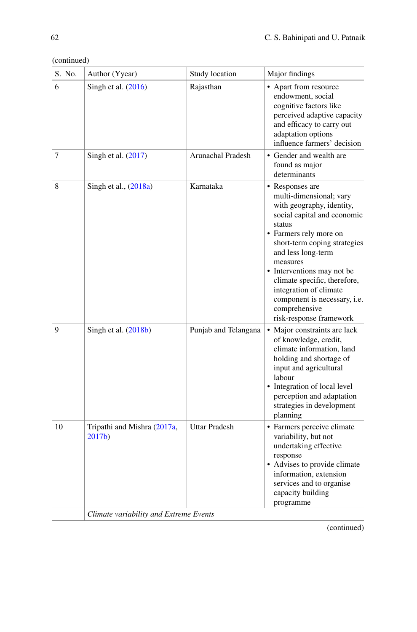| S. No. | Author (Yyear)                                   | Study location       | Major findings                                                                                                                                                                                                                                                                                                                                                                   |
|--------|--------------------------------------------------|----------------------|----------------------------------------------------------------------------------------------------------------------------------------------------------------------------------------------------------------------------------------------------------------------------------------------------------------------------------------------------------------------------------|
| 6      | Singh et al. $(2016)$                            | Rajasthan            | • Apart from resource<br>endowment, social<br>cognitive factors like<br>perceived adaptive capacity<br>and efficacy to carry out<br>adaptation options<br>influence farmers' decision                                                                                                                                                                                            |
| 7      | Singh et al. $(2017)$                            | Arunachal Pradesh    | • Gender and wealth are<br>found as major<br>determinants                                                                                                                                                                                                                                                                                                                        |
| 8      | Singh et al., $(2018a)$                          | Karnataka            | • Responses are<br>multi-dimensional; vary<br>with geography, identity,<br>social capital and economic<br>status<br>• Farmers rely more on<br>short-term coping strategies<br>and less long-term<br>measures<br>• Interventions may not be<br>climate specific, therefore,<br>integration of climate<br>component is necessary, i.e.<br>comprehensive<br>risk-response framework |
| 9      | Singh et al. $(2018b)$                           | Punjab and Telangana | • Major constraints are lack<br>of knowledge, credit,<br>climate information, land<br>holding and shortage of<br>input and agricultural<br>labour<br>• Integration of local level<br>perception and adaptation<br>strategies in development<br>planning                                                                                                                          |
| 10     | Tripathi and Mishra (2017a,<br>2017 <sub>b</sub> | <b>Uttar Pradesh</b> | • Farmers perceive climate<br>variability, but not<br>undertaking effective<br>response<br>• Advises to provide climate<br>information, extension<br>services and to organise<br>capacity building<br>programme                                                                                                                                                                  |
|        | Climate variability and Extreme Events           |                      |                                                                                                                                                                                                                                                                                                                                                                                  |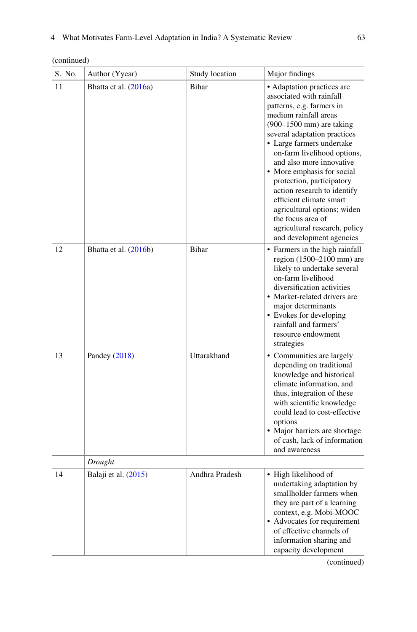| S. No. | Author (Yyear)        | Study location | Major findings                                                                                                                                                                                                                                                                                                                                                                                                                                                                                           |
|--------|-----------------------|----------------|----------------------------------------------------------------------------------------------------------------------------------------------------------------------------------------------------------------------------------------------------------------------------------------------------------------------------------------------------------------------------------------------------------------------------------------------------------------------------------------------------------|
| 11     | Bhatta et al. (2016a) | <b>Bihar</b>   | • Adaptation practices are<br>associated with rainfall<br>patterns, e.g. farmers in<br>medium rainfall areas<br>$(900-1500$ mm) are taking<br>several adaptation practices<br>• Large farmers undertake<br>on-farm livelihood options,<br>and also more innovative<br>• More emphasis for social<br>protection, participatory<br>action research to identify<br>efficient climate smart<br>agricultural options; widen<br>the focus area of<br>agricultural research, policy<br>and development agencies |
| 12     | Bhatta et al. (2016b) | Bihar          | • Farmers in the high rainfall<br>region (1500-2100 mm) are<br>likely to undertake several<br>on-farm livelihood<br>diversification activities<br>• Market-related drivers are<br>major determinants<br>• Evokes for developing<br>rainfall and farmers'<br>resource endowment<br>strategies                                                                                                                                                                                                             |
| 13     | Pandey (2018)         | Uttarakhand    | • Communities are largely<br>depending on traditional<br>knowledge and historical<br>climate information, and<br>thus, integration of these<br>with scientific knowledge<br>could lead to cost-effective<br>options<br>• Major barriers are shortage<br>of cash, lack of information<br>and awareness                                                                                                                                                                                                    |
|        | Drought               |                |                                                                                                                                                                                                                                                                                                                                                                                                                                                                                                          |
| 14     | Balaji et al. (2015)  | Andhra Pradesh | • High likelihood of<br>undertaking adaptation by<br>smallholder farmers when<br>they are part of a learning<br>context, e.g. Mobi-MOOC<br>• Advocates for requirement<br>of effective channels of<br>information sharing and<br>capacity development                                                                                                                                                                                                                                                    |

(continued)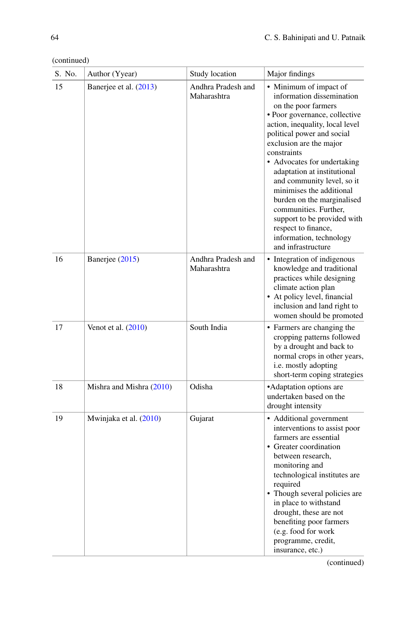| S. No. | Author (Yyear)           | Study location                    | Major findings                                                                                                                                                                                                                                                                                                                                                                                                                                                                                               |
|--------|--------------------------|-----------------------------------|--------------------------------------------------------------------------------------------------------------------------------------------------------------------------------------------------------------------------------------------------------------------------------------------------------------------------------------------------------------------------------------------------------------------------------------------------------------------------------------------------------------|
| 15     | Banerjee et al. (2013)   | Andhra Pradesh and<br>Maharashtra | • Minimum of impact of<br>information dissemination<br>on the poor farmers<br>• Poor governance, collective<br>action, inequality, local level<br>political power and social<br>exclusion are the major<br>constraints<br>• Advocates for undertaking<br>adaptation at institutional<br>and community level, so it<br>minimises the additional<br>burden on the marginalised<br>communities. Further,<br>support to be provided with<br>respect to finance,<br>information, technology<br>and infrastructure |
| 16     | Banerjee (2015)          | Andhra Pradesh and<br>Maharashtra | • Integration of indigenous<br>knowledge and traditional<br>practices while designing<br>climate action plan<br>• At policy level, financial<br>inclusion and land right to<br>women should be promoted                                                                                                                                                                                                                                                                                                      |
| 17     | Venot et al. $(2010)$    | South India                       | • Farmers are changing the<br>cropping patterns followed<br>by a drought and back to<br>normal crops in other years,<br>i.e. mostly adopting<br>short-term coping strategies                                                                                                                                                                                                                                                                                                                                 |
| 18     | Mishra and Mishra (2010) | Odisha                            | •Adaptation options are<br>undertaken based on the<br>drought intensity                                                                                                                                                                                                                                                                                                                                                                                                                                      |
| 19     | Mwinjaka et al. (2010)   | Gujarat                           | • Additional government<br>interventions to assist poor<br>farmers are essential<br>• Greater coordination<br>between research,<br>monitoring and<br>technological institutes are<br>required<br>• Though several policies are<br>in place to withstand<br>drought, these are not<br>benefiting poor farmers<br>(e.g. food for work<br>programme, credit,<br>insurance, etc.)                                                                                                                                |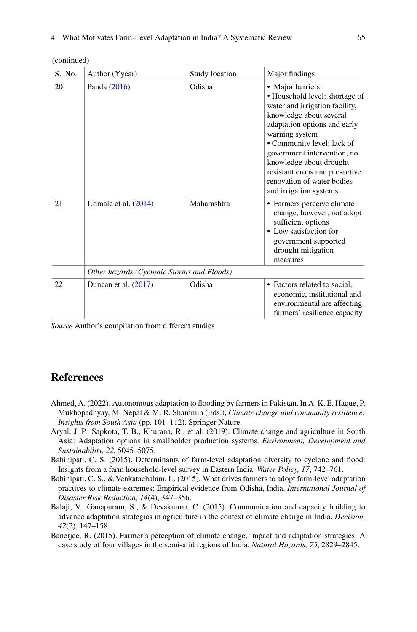| S. No. | Author (Yyear)                             | Study location | Major findings                                                                                                                                                                                                                                                                                                                                       |
|--------|--------------------------------------------|----------------|------------------------------------------------------------------------------------------------------------------------------------------------------------------------------------------------------------------------------------------------------------------------------------------------------------------------------------------------------|
| 20     | Panda $(2016)$                             | Odisha         | • Major barriers:<br>• Household level: shortage of<br>water and irrigation facility,<br>knowledge about several<br>adaptation options and early<br>warning system<br>• Community level: lack of<br>government intervention, no<br>knowledge about drought<br>resistant crops and pro-active<br>renovation of water bodies<br>and irrigation systems |
| 2.1    | Udmale et al. $(2014)$                     | Maharashtra    | • Farmers perceive climate<br>change, however, not adopt<br>sufficient options<br>• Low satisfaction for<br>government supported<br>drought mitigation<br>measures                                                                                                                                                                                   |
|        | Other hazards (Cyclonic Storms and Floods) |                |                                                                                                                                                                                                                                                                                                                                                      |
| 22     | Duncan et al. $(2017)$                     | Odisha         | • Factors related to social,<br>economic, institutional and<br>environmental are affecting<br>farmers' resilience capacity                                                                                                                                                                                                                           |

(continued)

*Source* Author's compilation from different studies

## **References**

- <span id="page-16-1"></span>Ahmed, A. (2022). Autonomous adaptation to flooding by farmers in Pakistan. In A. K. E. Haque, P. Mukhopadhyay, M. Nepal & M. R. Shammin (Eds.), *Climate change and community resilience: Insights from South Asia* (pp. 101–112). Springer Nature.
- <span id="page-16-0"></span>Aryal, J. P., Sapkota, T. B., Khurana, R., et al. (2019). Climate change and agriculture in South Asia: Adaptation options in smallholder production systems. *Environment, Development and Sustainability, 22*, 5045–5075.
- <span id="page-16-3"></span>Bahinipati, C. S. (2015). Determinants of farm-level adaptation diversity to cyclone and flood: Insights from a farm household-level survey in Eastern India. *Water Policy, 17*, 742–761.
- <span id="page-16-2"></span>Bahinipati, C. S., & Venkatachalam, L. (2015). What drives farmers to adopt farm-level adaptation practices to climate extremes: Empirical evidence from Odisha, India. *International Journal of Disaster Risk Reduction, 14*(4), 347–356.
- <span id="page-16-4"></span>Balaji, V., Ganapuram, S., & Devakumar, C. (2015). Communication and capacity building to advance adaptation strategies in agriculture in the context of climate change in India. *Decision, 42*(2), 147–158.
- <span id="page-16-5"></span>Banerjee, R. (2015). Farmer's perception of climate change, impact and adaptation strategies: A case study of four villages in the semi-arid regions of India. *Natural Hazards, 75*, 2829–2845.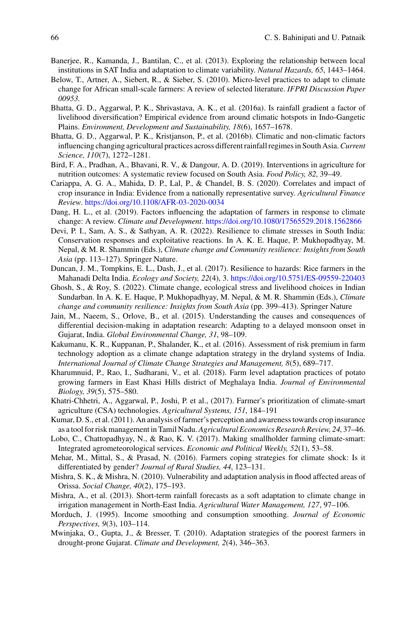- <span id="page-17-18"></span>Banerjee, R., Kamanda, J., Bantilan, C., et al. (2013). Exploring the relationship between local institutions in SAT India and adaptation to climate variability. *Natural Hazards, 65*, 1443–1464.
- <span id="page-17-0"></span>Below, T., Artner, A., Siebert, R., & Sieber, S. (2010). Micro-level practices to adapt to climate change for African small-scale farmers: A review of selected literature. *IFPRI Discussion Paper 00953*.
- <span id="page-17-16"></span>Bhatta, G. D., Aggarwal, P. K., Shrivastava, A. K., et al. (2016a). Is rainfall gradient a factor of livelihood diversification? Empirical evidence from around climatic hotspots in Indo-Gangetic Plains. *Environment, Development and Sustainability, 18*(6), 1657–1678.
- <span id="page-17-17"></span>Bhatta, G. D., Aggarwal, P. K., Kristjanson, P., et al. (2016b). Climatic and non-climatic factors influencing changing agricultural practices across different rainfall regimes in South Asia.*Current Science, 110*(7), 1272–1281.
- <span id="page-17-6"></span>Bird, F. A., Pradhan, A., Bhavani, R. V., & Dangour, A. D. (2019). Interventions in agriculture for nutrition outcomes: A systematic review focused on South Asia. *Food Policy, 82*, 39–49.
- <span id="page-17-1"></span>Cariappa, A. G. A., Mahida, D. P., Lal, P., & Chandel, B. S. (2020). Correlates and impact of crop insurance in India: Evidence from a nationally representative survey. *Agricultural Finance Review*. <https://doi.org/10.1108/AFR-03-2020-0034>
- <span id="page-17-5"></span>Dang, H. L., et al. (2019). Factors influencing the adaptation of farmers in response to climate change: A review. *Climate and Development*. <https://doi.org/10.1080/17565529.2018.1562866>
- <span id="page-17-2"></span>Devi, P. I., Sam, A. S., & Sathyan, A. R. (2022). Resilience to climate stresses in South India: Conservation responses and exploitative reactions. In A. K. E. Haque, P. Mukhopadhyay, M. Nepal, & M. R. Shammin (Eds.), *Climate change and Community resilience: Insights from South Asia* (pp. 113–127). Springer Nature.
- <span id="page-17-13"></span>Duncan, J. M., Tompkins, E. L., Dash, J., et al. (2017). Resilience to hazards: Rice farmers in the Mahanadi Delta India. *Ecology and Society, 22*(4), 3. <https://doi.org/10.5751/ES-09559-220403>
- <span id="page-17-3"></span>Ghosh, S., & Roy, S. (2022). Climate change, ecological stress and livelihood choices in Indian Sundarban. In A. K. E. Haque, P. Mukhopadhyay, M. Nepal, & M. R. Shammin (Eds.), *Climate change and community resilience: Insights from South Asia* (pp. 399–413). Springer Nature
- <span id="page-17-8"></span>Jain, M., Naeem, S., Orlove, B., et al. (2015). Understanding the causes and consequences of differential decision-making in adaptation research: Adapting to a delayed monsoon onset in Gujarat, India. *Global Environmental Change, 31*, 98–109.
- <span id="page-17-9"></span>Kakumanu, K. R., Kuppanan, P., Shalander, K., et al. (2016). Assessment of risk premium in farm technology adoption as a climate change adaptation strategy in the dryland systems of India. *International Journal of Climate Change Strategies and Management, 8*(5), 689–717.
- <span id="page-17-4"></span>Kharumnuid, P., Rao, I., Sudharani, V., et al. (2018). Farm level adaptation practices of potato growing farmers in East Khasi Hills district of Meghalaya India. *Journal of Environmental Biology, 39*(5), 575–580.
- <span id="page-17-10"></span>Khatri-Chhetri, A., Aggarwal, P., Joshi, P. et al., (2017). Farmer's prioritization of climate-smart agriculture (CSA) technologies. *Agricultural Systems, 151*, 184–191
- <span id="page-17-11"></span>Kumar, D. S., et al. (2011). An analysis of farmer's perception and awareness towards crop insurance as a tool for risk management in Tamil Nadu.*Agricultural Economics Research Review, 24*, 37–46.
- <span id="page-17-14"></span>Lobo, C., Chattopadhyay, N., & Rao, K. V. (2017). Making smallholder farming climate-smart: Integrated agrometeorological services. *Economic and Political Weekly, 52*(1), 53–58.
- <span id="page-17-7"></span>Mehar, M., Mittal, S., & Prasad, N. (2016). Farmers coping strategies for climate shock: Is it differentiated by gender? *Journal of Rural Studies, 44*, 123–131.
- <span id="page-17-19"></span>Mishra, S. K., & Mishra, N. (2010). Vulnerability and adaptation analysis in flood affected areas of Orissa. *Social Change, 40*(2), 175–193.
- <span id="page-17-15"></span>Mishra, A., et al. (2013). Short-term rainfall forecasts as a soft adaptation to climate change in irrigation management in North-East India. *Agricultural Water Management, 127*, 97–106.
- <span id="page-17-12"></span>Morduch, J. (1995). Income smoothing and consumption smoothing. *Journal of Economic Perspectives, 9*(3), 103–114.
- <span id="page-17-20"></span>Mwinjaka, O., Gupta, J., & Bresser, T. (2010). Adaptation strategies of the poorest farmers in drought-prone Gujarat. *Climate and Development, 2*(4), 346–363.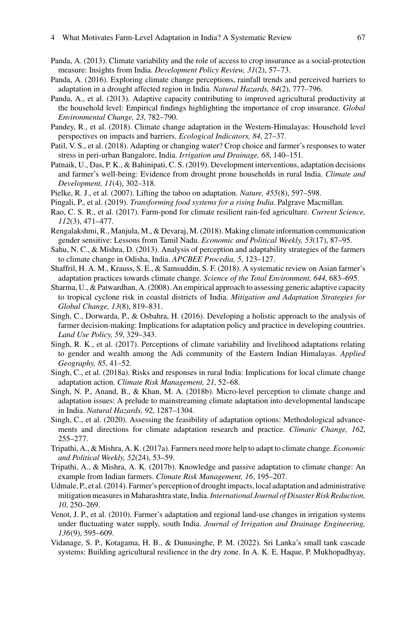- <span id="page-18-7"></span>Panda, A. (2013). Climate variability and the role of access to crop insurance as a social-protection measure: Insights from India. *Development Policy Review, 31*(2), 57–73.
- <span id="page-18-18"></span>Panda, A. (2016). Exploring climate change perceptions, rainfall trends and perceived barriers to adaptation in a drought affected region in India. *Natural Hazards, 84*(2), 777–796.
- <span id="page-18-6"></span>Panda, A., et al. (2013). Adaptive capacity contributing to improved agricultural productivity at the household level: Empirical findings highlighting the importance of crop insurance. *Global Environmental Change, 23*, 782–790.
- <span id="page-18-22"></span>Pandey, R., et al. (2018). Climate change adaptation in the Western-Himalayas: Household level perspectives on impacts and barriers. *Ecological Indicators, 84*, 27–37.
- <span id="page-18-9"></span>Patil, V. S., et al. (2018). Adapting or changing water? Crop choice and farmer's responses to water stress in peri-urban Bangalore, India. *Irrigation and Drainage, 68*, 140–151.
- <span id="page-18-1"></span>Patnaik, U., Das, P. K., & Bahinipati, C. S. (2019). Development interventions, adaptation decisions and farmer's well-being: Evidence from drought prone households in rural India. *Climate and Development, 11*(4), 302–318.
- <span id="page-18-5"></span>Pielke, R. J., et al. (2007). Lifting the taboo on adaptation. *Nature, 455*(8), 597–598.
- <span id="page-18-0"></span>Pingali, P., et al. (2019). *Transforming food systems for a rising India*. Palgrave Macmillan.
- <span id="page-18-16"></span>Rao, C. S. R., et al. (2017). Farm-pond for climate resilient rain-fed agriculture. *Current Science, 112*(3), 471–477.
- <span id="page-18-17"></span>Rengalakshmi, R., Manjula, M., & Devaraj, M. (2018). Making climate information communication gender sensitive: Lessons from Tamil Nadu. *Economic and Political Weekly, 53*(17), 87–95.
- <span id="page-18-8"></span>Sahu, N. C., & Mishra, D. (2013). Analysis of perception and adaptability strategies of the farmers to climate change in Odisha, India. *APCBEE Procedia, 5*, 123–127.
- <span id="page-18-4"></span>Shaffril, H. A. M., Krauss, S. E., & Samsuddin, S. F. (2018). A systematic review on Asian farmer's adaptation practices towards climate change. *Science of the Total Environment, 644*, 683–695.
- <span id="page-18-10"></span>Sharma, U., & Patwardhan, A. (2008). An empirical approach to assessing generic adaptive capacity to tropical cyclone risk in coastal districts of India. *Mitigation and Adaptation Strategies for Global Change, 13*(8), 819–831.
- <span id="page-18-21"></span>Singh, C., Dorwarda, P., & Osbahra, H. (2016). Developing a holistic approach to the analysis of farmer decision-making: Implications for adaptation policy and practice in developing countries. *Land Use Policy, 59*, 329–343.
- <span id="page-18-12"></span>Singh, R. K., et al. (2017). Perceptions of climate variability and livelihood adaptations relating to gender and wealth among the Adi community of the Eastern Indian Himalayas. *Applied Geography, 85*, 41–52.
- <span id="page-18-13"></span>Singh, C., et al. (2018a). Risks and responses in rural India: Implications for local climate change adaptation action. *Climate Risk Management, 21*, 52–68.
- <span id="page-18-11"></span>Singh, N. P., Anand, B., & Khan, M. A. (2018b). Micro-level perception to climate change and adaptation issues: A prelude to mainstreaming climate adaptation into developmental landscape in India. *Natural Hazards, 92*, 1287–1304.
- <span id="page-18-2"></span>Singh, C., et al. (2020). Assessing the feasibility of adaptation options: Methodological advancements and directions for climate adaptation research and practice. *Climatic Change, 162*, 255–277.
- <span id="page-18-15"></span>Tripathi, A., & Mishra, A. K. (2017a). Farmers need more help to adapt to climate change. *Economic and Political Weekly, 52*(24), 53–59.
- <span id="page-18-14"></span>Tripathi, A., & Mishra, A. K. (2017b). Knowledge and passive adaptation to climate change: An example from Indian farmers. *Climate Risk Management, 16*, 195–207.
- <span id="page-18-19"></span>Udmale, P., et al. (2014). Farmer's perception of drought impacts, local adaptation and administrative mitigation measures in Maharashtra state, India.*International Journal of Disaster Risk Reduction, 10*, 250–269.
- <span id="page-18-20"></span>Venot, J. P., et al. (2010). Farmer's adaptation and regional land-use changes in irrigation systems under fluctuating water supply, south India. *Journal of Irrigation and Drainage Engineering, 136*(9), 595–609.
- <span id="page-18-3"></span>Vidanage, S. P., Kotagama, H. B., & Dunusinghe, P. M. (2022). Sri Lanka's small tank cascade systems: Building agricultural resilience in the dry zone. In A. K. E. Haque, P. Mukhopadhyay,